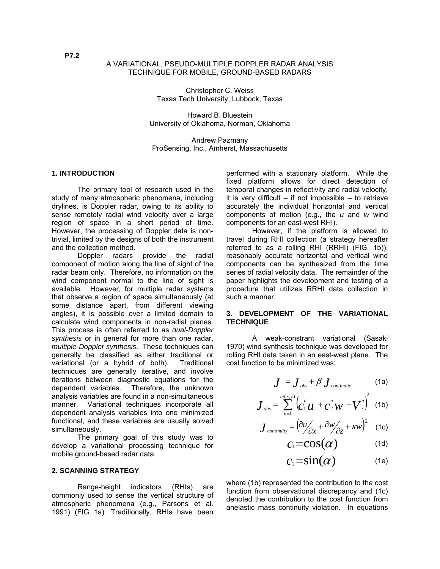#### A VARIATIONAL, PSEUDO-MULTIPLE DOPPLER RADAR ANALYSIS TECHNIQUE FOR MOBILE, GROUND-BASED RADARS

Christopher C. Weiss Texas Tech University, Lubbock, Texas

Howard B. Bluestein University of Oklahoma, Norman, Oklahoma

Andrew Pazmany ProSensing, Inc., Amherst, Massachusetts

#### **1. INTRODUCTION**

 The primary tool of research used in the study of many atmospheric phenomena, including drylines, is Doppler radar, owing to its ability to sense remotely radial wind velocity over a large region of space in a short period of time. However, the processing of Doppler data is nontrivial, limited by the designs of both the instrument and the collection method.

 Doppler radars provide the radial component of motion along the line of sight of the radar beam only. Therefore, no information on the wind component normal to the line of sight is available. However, for multiple radar systems that observe a region of space simultaneously (at some distance apart, from different viewing angles), it is possible over a limited domain to calculate wind components in non-radial planes. This process is often referred to as *dual-Doppler synthesis* or in general for more than one radar, *multiple-Doppler synthesis*. These techniques can generally be classified as either traditional or variational (or a hybrid of both). Traditional techniques are generally iterative, and involve iterations between diagnostic equations for the dependent variables. Therefore, the unknown analysis variables are found in a non-simultaneous manner. Variational techniques incorporate all dependent analysis variables into one minimized functional, and these variables are usually solved simultaneously.

 The primary goal of this study was to develop a variational processing technique for mobile ground-based radar data.

#### **2. SCANNING STRATEGY**

 Range-height indicators (RHIs) are commonly used to sense the vertical structure of atmospheric phenomena (e.g., Parsons et al. 1991) (FIG 1a). Traditionally, RHIs have been performed with a stationary platform. While the fixed platform allows for direct detection of temporal changes in reflectivity and radial velocity, it is very difficult  $-$  if not impossible  $-$  to retrieve accurately the individual horizontal and vertical components of motion (e.g., the *u* and *w* wind components for an east-west RHI).

 However, if the platform is allowed to travel during RHI collection (a strategy hereafter referred to as a rolling RHI (RRHI) (FIG. 1b)), reasonably accurate horizontal and vertical wind components can be synthesized from the time series of radial velocity data. The remainder of the paper highlights the development and testing of a procedure that utilizes RRHI data collection in such a manner.

#### **3. DEVELOPMENT OF THE VARIATIONAL TECHNIQUE**

A weak-constrant variational (Sasaki 1970) wind synthesis technique was developed for rolling RHI data taken in an east-west plane. The cost function to be minimized was:

$$
J = J_{obs} + \beta J_{\text{continuity}} \tag{1a}
$$

$$
\boldsymbol{J}_{obs} = \sum_{n=1}^{m(x,z)} \left( \boldsymbol{C}_1^n \boldsymbol{U} + \boldsymbol{C}_2^n \boldsymbol{W} - \boldsymbol{V}_r^n \right)^2
$$
 (1b)

$$
\boldsymbol{J}_{\text{continuity}} = \left(\frac{\partial u}{\partial x} + \frac{\partial w}{\partial z} + \kappa w\right)^2 \quad (1c)
$$

$$
c_1 = \cos(\alpha) \tag{1d}
$$

$$
c_2 = \sin(\alpha) \tag{1e}
$$

where (1b) represented the contribution to the cost function from observational discrepancy and (1c) denoted the contribution to the cost function from anelastic mass continuity violation. In equations

**P7.2**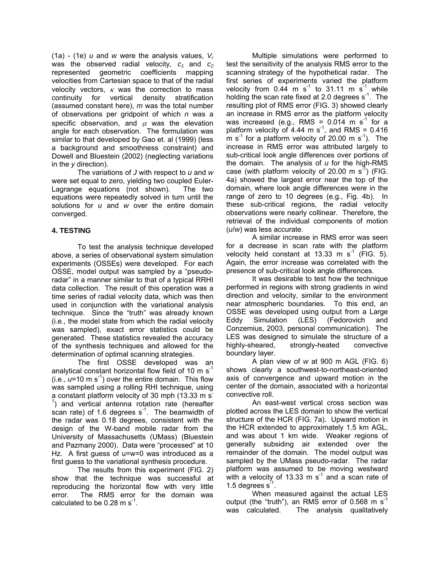(1a) - (1e) *u* and *w* were the analysis values, *Vr* was the observed radial velocity,  $c_1$  and  $c_2$ represented geometric coefficients mapping velocities from Cartesian space to that of the radial velocity vectors,  $\kappa$  was the correction to mass continuity for vertical density stratification (assumed constant here), *m* was the total number of observations per gridpoint of which *n* was a specific observation, and  $\alpha$  was the elevation angle for each observation. The formulation was similar to that developed by Gao et. al (1999) (less a background and smoothness constraint) and Dowell and Bluestein (2002) (neglecting variations in the *y* direction).

 The variations of *J* with respect to *u* and *w* were set equal to zero, yielding two coupled Euler-Lagrange equations (not shown). The two equations were repeatedly solved in turn until the solutions for *u* and *w* over the entire domain converged.

# **4. TESTING**

To test the analysis technique developed above, a series of observational system simulation experiments (OSSEs) were developed. For each OSSE, model output was sampled by a "pseudoradar" in a manner similar to that of a typical RRHI data collection. The result of this operation was a time series of radial velocity data, which was then used in conjunction with the variational analysis technique. Since the "truth" was already known (i.e., the model state from which the radial velocity was sampled), exact error statistics could be generated. These statistics revealed the accuracy of the synthesis techniques and allowed for the determination of optimal scanning strategies.

 The first OSSE developed was an analytical constant horizontal flow field of 10  $\text{m s}^{-1}$ (i.e.,  $u=10 \text{ m s}^{-1}$ ) over the entire domain. This flow was sampled using a rolling RHI technique, using a constant platform velocity of 30 mph (13.33 m s) <sup>1</sup>) and vertical antenna rotation rate (hereafter scan rate) of 1.6 degrees  $s^{-1}$ . The beamwidth of the radar was 0.18 degrees, consistent with the design of the W-band mobile radar from the University of Massachusetts (UMass) (Bluestein and Pazmany 2000). Data were "processed" at 10 Hz. A first guess of u=w=0 was introduced as a first guess to the variational synthesis procedure.

 The results from this experiment (FIG. 2) show that the technique was successful at reproducing the horizontal flow with very little error. The RMS error for the domain was calculated to be  $0.28 \text{ m s}^{-1}$ .

 Multiple simulations were performed to test the sensitivity of the analysis RMS error to the scanning strategy of the hypothetical radar. The first series of experiments varied the platform velocity from  $0.44$  m s<sup>-1</sup> to 31.11 m s<sup>-1</sup> while holding the scan rate fixed at 2.0 degrees  $s^{-1}$ . The resulting plot of RMS error (FIG. 3) showed clearly an increase in RMS error as the platform velocity was increased (e.g., RMS =  $0.014$  m s<sup>-1</sup> for a platform velocity of 4.44 m  $s^{-1}$ , and RMS = 0.416 m  $s^{-1}$  for a platform velocity of 20.00 m  $s^{-1}$ ). The increase in RMS error was attributed largely to sub-critical look angle differences over portions of the domain. The analysis of *u* for the high-RMS case (with platform velocity of 20.00 m  $s^{-1}$ ) (FIG. 4a) showed the largest error near the top of the domain, where look angle differences were in the range of zero to 10 degrees (e.g., Fig. 4b). In these sub-critical regions, the radial velocity observations were nearly collinear. Therefore, the retrieval of the individual components of motion (*u*/*w*) was less accurate.

A similar increase in RMS error was seen for a decrease in scan rate with the platform velocity held constant at 13.33 m  $s^{-1}$  (FIG. 5). Again, the error increase was correlated with the presence of sub-critical look angle differences.

It was desirable to test how the technique performed in regions with strong gradients in wind direction and velocity, similar to the environment near atmospheric boundaries. To this end, an OSSE was developed using output from a Large Eddy Simulation (LES) (Fedorovich and Conzemius, 2003, personal communication). The LES was designed to simulate the structure of a highly-sheared, strongly-heated convective boundary layer.

A plan view of *w* at 900 m AGL (FIG. 6) shows clearly a southwest-to-northeast-oriented axis of convergence and upward motion in the center of the domain, associated with a horizontal convective roll.

An east-west vertical cross section was plotted across the LES domain to show the vertical structure of the HCR (FIG. 7a). Upward motion in the HCR extended to approximately 1.5 km AGL, and was about 1 km wide. Weaker regions of generally subsiding air extended over the remainder of the domain. The model output was sampled by the UMass pseudo-radar. The radar platform was assumed to be moving westward with a velocity of 13.33 m  $s<sup>-1</sup>$  and a scan rate of 1.5 degrees s<sup>-1</sup>.

When measured against the actual LES output (the "truth"), an RMS error of 0.568 m  $s^{-1}$ was calculated. The analysis qualitatively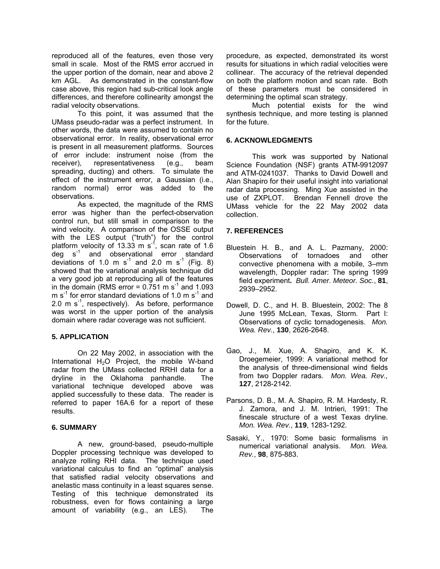reproduced all of the features, even those very small in scale. Most of the RMS error accrued in the upper portion of the domain, near and above 2 km AGL. As demonstrated in the constant-flow case above, this region had sub-critical look angle differences, and therefore collinearity amongst the radial velocity observations.

To this point, it was assumed that the UMass pseudo-radar was a perfect instrument. In other words, the data were assumed to contain no observational error. In reality, observational error is present in all measurement platforms. Sources of error include: instrument noise (from the receiver), representativeness (e.g., beam spreading, ducting) and others. To simulate the effect of the instrument error, a Gaussian (i.e., random normal) error was added to the observations.

As expected, the magnitude of the RMS error was higher than the perfect-observation control run, but still small in comparison to the wind velocity. A comparison of the OSSE output with the LES output ("truth") for the control platform velocity of 13.33 m s<sup>-1</sup>, scan rate of 1.6  $\deg$  s<sup>-1</sup> and observational error standard deviations of 1.0 m s<sup>-1</sup> and 2.0 m s<sup>-1</sup> (Fig. 8) showed that the variational analysis technique did a very good job at reproducing all of the features in the domain (RMS error =  $0.751$  m s<sup>-1</sup> and 1.093 m  $s^{-1}$  for error standard deviations of 1.0 m  $s^{-1}$  and 2.0 m  $s^{-1}$ , respectively). As before, performance was worst in the upper portion of the analysis domain where radar coverage was not sufficient.

# **5. APPLICATION**

 On 22 May 2002, in association with the International  $H_2O$  Project, the mobile W-band radar from the UMass collected RRHI data for a dryline in the Oklahoma panhandle. The variational technique developed above was applied successfully to these data. The reader is referred to paper 16A.6 for a report of these results.

# **6. SUMMARY**

A new, ground-based, pseudo-multiple Doppler processing technique was developed to analyze rolling RHI data. The technique used variational calculus to find an "optimal" analysis that satisfied radial velocity observations and anelastic mass continuity in a least squares sense. Testing of this technique demonstrated its robustness, even for flows containing a large amount of variability (e.g., an LES). The

procedure, as expected, demonstrated its worst results for situations in which radial velocities were collinear. The accuracy of the retrieval depended on both the platform motion and scan rate. Both of these parameters must be considered in determining the optimal scan strategy.

Much potential exists for the wind synthesis technique, and more testing is planned for the future.

# **6. ACKNOWLEDGMENTS**

This work was supported by National Science Foundation (NSF) grants ATM-9912097 and ATM-0241037. Thanks to David Dowell and Alan Shapiro for their useful insight into variational radar data processing. Ming Xue assisted in the use of ZXPLOT. Brendan Fennell drove the UMass vehicle for the 22 May 2002 data collection.

# **7. REFERENCES**

- Bluestein H. B., and A. L. Pazmany, 2000: Observations of tornadoes and other convective phenomena with a mobile, 3–mm wavelength, Doppler radar: The spring 1999 field experiment**.** *Bull. Amer. Meteor. Soc.*, **81**, 2939–2952.
- Dowell, D. C., and H. B. Bluestein, 2002: The 8 June 1995 McLean, Texas, Storm. Part I: Observations of cyclic tornadogenesis. *Mon. Wea. Rev.*, **130**, 2626-2648.
- Gao, J., M. Xue, A. Shapiro, and K. K. Droegemeier, 1999: A variational method for the analysis of three-dimensional wind fields from two Doppler radars. *Mon. Wea. Rev.,*  **127**, 2128-2142.
- Parsons, D. B., M. A. Shapiro, R. M. Hardesty, R. J. Zamora, and J. M. Intrieri, 1991: The finescale structure of a west Texas dryline. *Mon. Wea. Rev.*, **119**, 1283-1292.
- Sasaki, Y., 1970: Some basic formalisms in numerical variational analysis. *Mon. Wea. Rev.*, **98**, 875-883.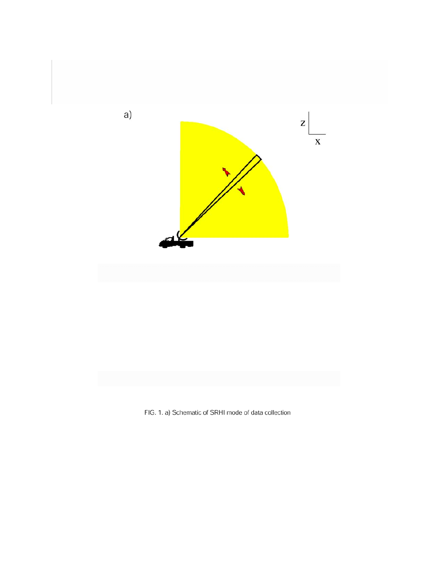

FIG. 1. a) Schematic of SRHI mode of data collection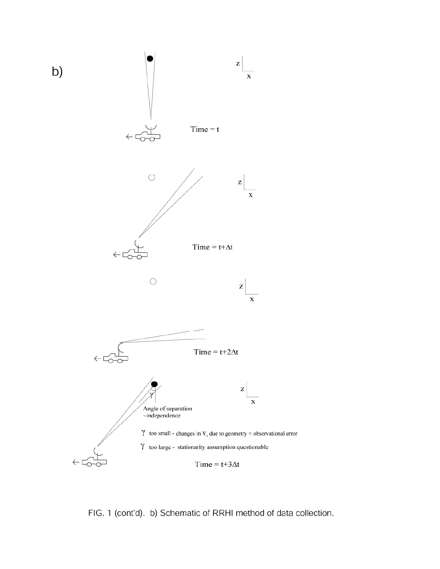

FIG. 1 (cont'd). b) Schematic of RRHI method of data collection.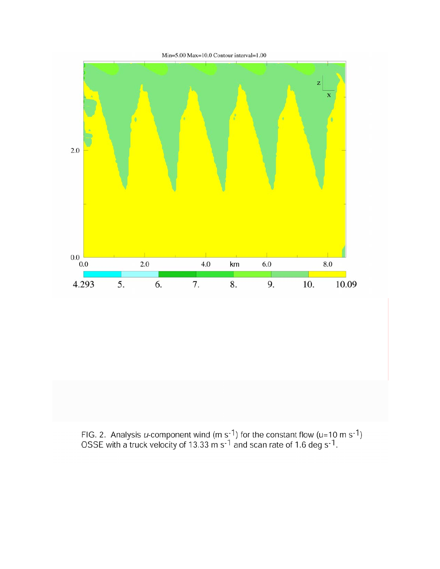

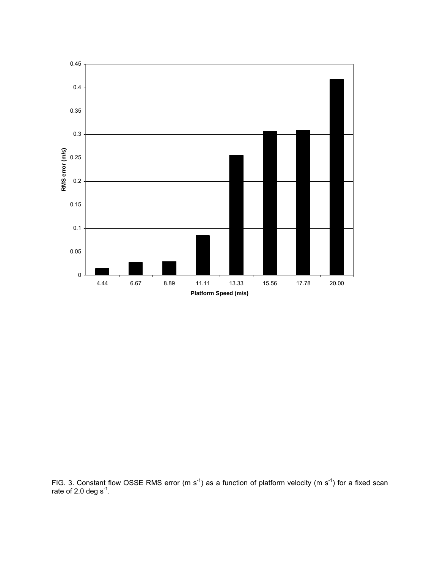

FIG. 3. Constant flow OSSE RMS error (m s<sup>-1</sup>) as a function of platform velocity (m s<sup>-1</sup>) for a fixed scan rate of 2.0 deg  $s^{-1}$ .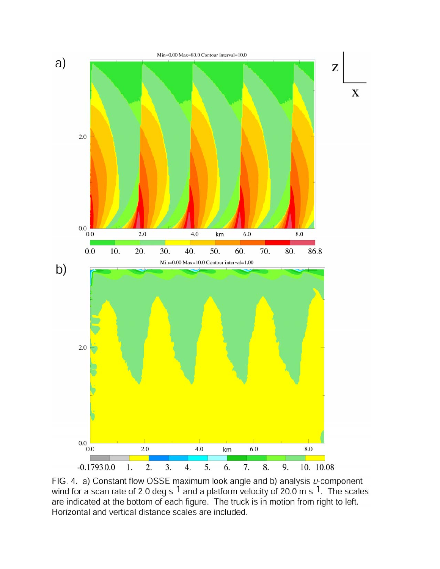

FIG. 4. a) Constant flow OSSE maximum look angle and b) analysis *u*-component wind for a scan rate of 2.0 deg s<sup>-1</sup> and a platform velocity of 20.0 m s<sup>-1</sup>. The scales are indicated at the bottom of each figure. The truck is in motion from right to left. Horizontal and vertical distance scales are included.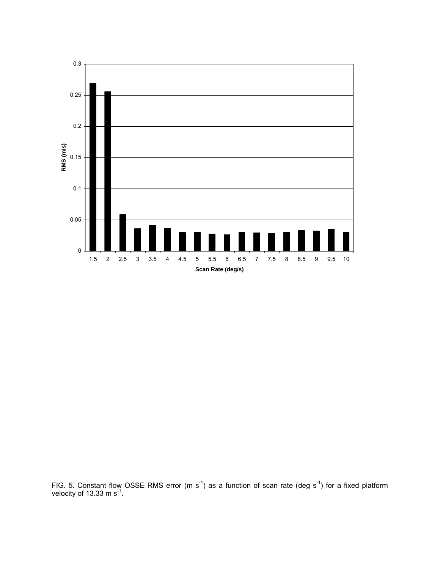

FIG. 5. Constant flow OSSE RMS error (m s<sup>-1</sup>) as a function of scan rate (deg s<sup>-1</sup>) for a fixed platform velocity of 13.33 m s $^{-1}$ .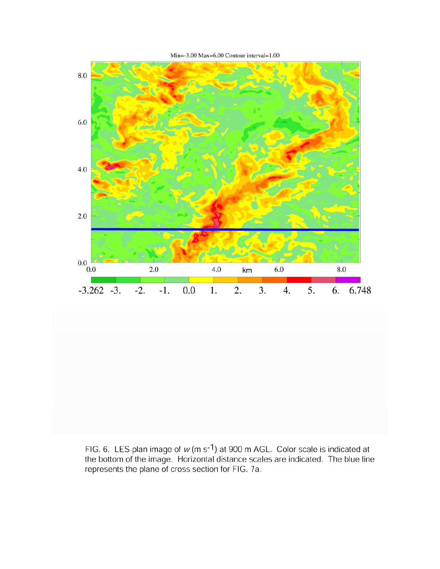

FIG. 6. LES plan image of  $w$  (m s<sup>-1</sup>) at 900 m AGL. Color scale is indicated at the bottom of the image. Horizontal distance scales are indicated. The blue line represents the plane of cross section for FIG. 7a.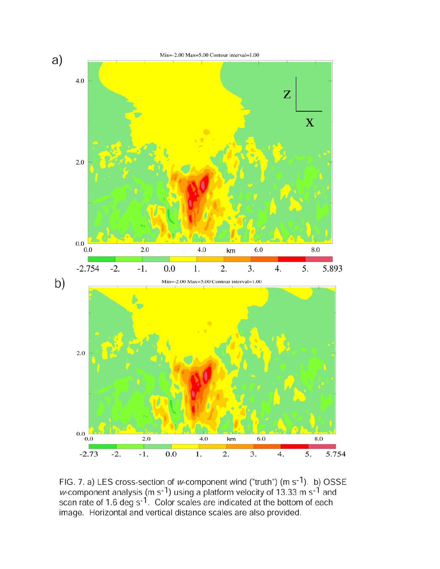

FIG. 7. a) LES cross-section of *w*-component wind ("truth") (m s<sup>-1</sup>). b) OSSE *w*-component analysis (m s<sup>-1</sup>) using a platform velocity of 13.33 m s<sup>-1</sup> and scan rate of 1.6 deg s<sup>-1</sup>. Color scales are indicated at the